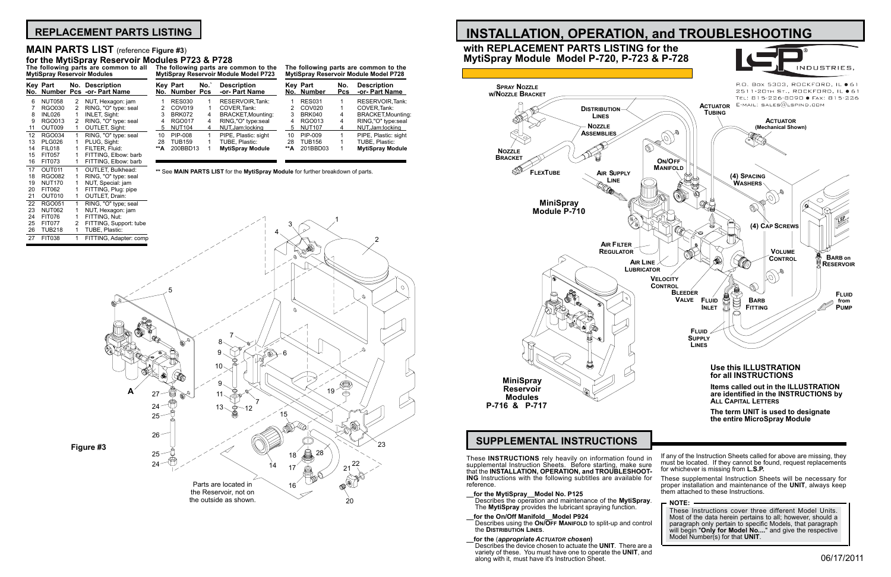These **INSTRUCTIONS** rely heavily on information found in supplemental Instruction Sheets. Before starting, make sure that the **INSTALLATION, OPERATION, and TROUBLESHOOT- ING** Instructions with the following subtitles are available for reference.

- **\_\_for the MytiSpray\_\_Model No. P125** Describes the operation and maintenance of the **MytiSpray**. The **MytiSpray** provides the lubricant spraying function.
- **\_\_for the On/Off Manifold\_\_Model P924** Describes using the **On/Off Manifold** to split-up and control the **Distribution Lines**.
- **\_\_for the** (*appropriate Actuator chosen***)** Describes the device chosen to actuate the **UNIT**. There are a variety of these. You must have one to operate the **UNIT**, and along with it, must have it's Instruction Sheet.

17 OUT011 1 OUTLET, Bulkhead:<br>18 RGO082 1 RING, "O" type: sea 18 RGO082 1 RING, "O" type: seal<br>19 NUT170 1 NUT, Special: jam

## **SUPPLEMENTAL INSTRUCTIONS**



must be located. If they cannot be found, request replacements for whichever is missing from **L.S.P.**

These supplemental Instruction Sheets will be necessary for proper installation and maintenance of the **UNIT**, always keep them attached to these Instructions.

**NOTE:** These Instructions cover three different Model Units. Most of the data herein pertains to all; however, should a paragraph only pertain to specific Models, that paragraph will begin "**Only for Model No....**" and give the respective Model Number(s) for that **UNIT**.

## **REPLACEMENT PARTS LISTING**

**MytiSpray Reservoir Modules**

|     | Key Part      | No. Description<br>No. Number Pcs -or- Part Name |     | <b>Key Part</b><br>No. Number Pcs | No. | <b>Description</b><br>-or- Part Name |     | <b>Key Part</b><br>No. Number | No.<br><b>Pcs</b> | <b>Description</b><br>-or- Part Name |
|-----|---------------|--------------------------------------------------|-----|-----------------------------------|-----|--------------------------------------|-----|-------------------------------|-------------------|--------------------------------------|
| 6.  | <b>NUT058</b> | NUT, Hexagon: jam                                |     | <b>RES030</b>                     |     | <b>RESERVOIR Tank:</b>               |     | <b>RES031</b>                 |                   | <b>RESERVOIR Tank:</b>               |
|     | RGO030        | RING, "O" type: seal                             |     | COV019                            |     | COVER Tank:                          |     | 2 COV020                      |                   | COVER Tank:                          |
| 8.  | INL026        | INLET, Sight:                                    |     | BRK072                            | 4   | <b>BRACKET, Mounting:</b>            |     | BRK040                        | 4                 | <b>BRACKET, Mounting:</b>            |
| 9.  | RGO013        | RING, "O" type: seal                             | 4   | RGO017                            | 4   | RING,"O" type:seal                   |     | RGO013                        | 4                 | RING,"O" type:seal                   |
| 11  | OUT009        | OUTLET, Sight:                                   |     | 5 NUT104                          | 4   | NUT, Jam: locking                    | 5   | <b>NUT107</b>                 |                   | NUT, Jam: locking                    |
| 12. | RGO034        | RING, "O" type: seal                             | 10  | PIP-008                           |     | PIPE, Plastic: sight                 | 10  | PIP-009                       |                   | PIPE, Plastic: sight                 |
| 13. | PLG026        | PLUG, Sight:                                     | 28  | <b>TUB159</b>                     |     | TUBE. Plastic:                       | 28  | <b>TUB156</b>                 |                   | TUBE, Plastic:                       |
| 14  | FIL018        | FILTER. Fluid:                                   | **А | 200BBD13                          |     | <b>MytiSpray Module</b>              | **А | 201BBD03                      |                   | <b>MytiSpray Module</b>              |
| 15. | <b>FIT057</b> | FITTING, Elbow: barb                             |     |                                   |     |                                      |     |                               |                   |                                      |
|     | 16 FIT073     | FITTING, Elbow: barb                             |     |                                   |     |                                      |     |                               |                   |                                      |

### **The following parts are common to all The following parts are common to the MytiSpray Reservoir Module Model P723 for the MytiSpray Reservoir Modules P723 & P728**

| The following parts are common to the        |
|----------------------------------------------|
| <b>MytiSpray Reservoir Module Model P728</b> |



## **MAIN PARTS LIST** (reference **Figure #3**)

**\*\*** See **MAIN PARTS LIST** for the **MytiSpray Module** for further breakdown of parts.